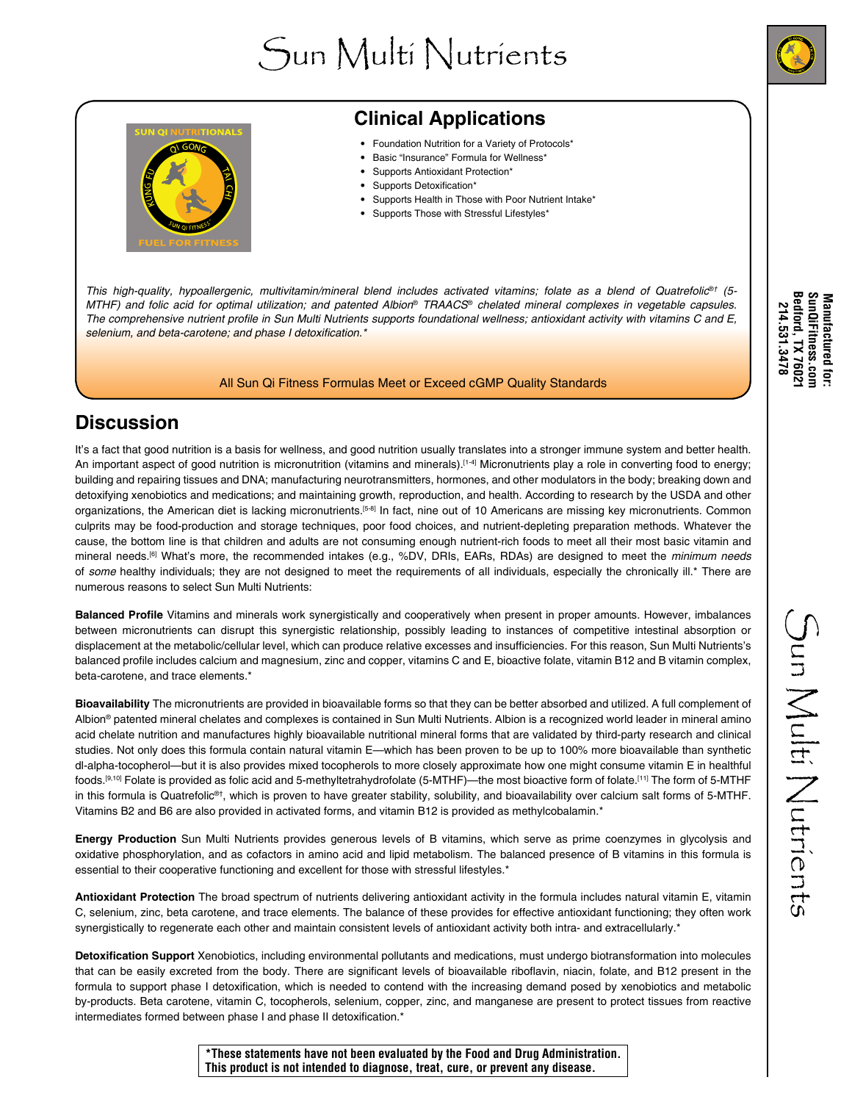# Sun Multi Nutrients





### **Clinical Applications**

- Foundation Nutrition for a Variety of Protocols\*
- Basic "Insurance" Formula for Wellness\*
- Supports Antioxidant Protection\*
- Supports Detoxification\*
- Supports Health in Those with Poor Nutrient Intake\*
- Supports Those with Stressful Lifestyles\*

*This high-quality, hypoallergenic, multivitamin/mineral blend includes activated vitamins; folate as a blend of Quatrefolic*®*† (5- MTHF) and folic acid for optimal utilization; and patented Albion*® *TRAACS*® *chelated mineral complexes in vegetable capsules.*  The comprehensive nutrient profile in Sun Multi Nutrients supports foundational wellness; antioxidant activity with vitamins C and E, selenium, and beta-carotene; and phase I detoxification.\*

#### All Sun Qi Fitness Formulas Meet or Exceed cGMP Quality Standards

### **Discussion**

It's a fact that good nutrition is a basis for wellness, and good nutrition usually translates into a stronger immune system and better health. An important aspect of good nutrition is micronutrition (vitamins and minerals).<sup>[14]</sup> Micronutrients play a role in converting food to energy; building and repairing tissues and DNA; manufacturing neurotransmitters, hormones, and other modulators in the body; breaking down and detoxifying xenobiotics and medications; and maintaining growth, reproduction, and health. According to research by the USDA and other organizations, the American diet is lacking micronutrients.[5-8] In fact, nine out of 10 Americans are missing key micronutrients. Common culprits may be food-production and storage techniques, poor food choices, and nutrient-depleting preparation methods. Whatever the cause, the bottom line is that children and adults are not consuming enough nutrient-rich foods to meet all their most basic vitamin and mineral needs.[6] What's more, the recommended intakes (e.g., %DV, DRIs, EARs, RDAs) are designed to meet the *minimum needs* of *some* healthy individuals; they are not designed to meet the requirements of all individuals, especially the chronically ill.\* There are numerous reasons to select Sun Multi Nutrients:

**Balanced Profile** Vitamins and minerals work synergistically and cooperatively when present in proper amounts. However, imbalances between micronutrients can disrupt this synergistic relationship, possibly leading to instances of competitive intestinal absorption or displacement at the metabolic/cellular level, which can produce relative excesses and insufficiencies. For this reason, Sun Multi Nutrients's balanced profile includes calcium and magnesium, zinc and copper, vitamins C and E, bioactive folate, vitamin B12 and B vitamin complex, beta-carotene, and trace elements.\*

**Bioavailability** The micronutrients are provided in bioavailable forms so that they can be better absorbed and utilized. A full complement of Albion® patented mineral chelates and complexes is contained in Sun Multi Nutrients. Albion is a recognized world leader in mineral amino acid chelate nutrition and manufactures highly bioavailable nutritional mineral forms that are validated by third-party research and clinical studies. Not only does this formula contain natural vitamin E—which has been proven to be up to 100% more bioavailable than synthetic dl-alpha-tocopherol—but it is also provides mixed tocopherols to more closely approximate how one might consume vitamin E in healthful foods.[9,10] Folate is provided as folic acid and 5-methyltetrahydrofolate (5-MTHF)—the most bioactive form of folate.[11] The form of 5-MTHF in this formula is Quatrefolic®†, which is proven to have greater stability, solubility, and bioavailability over calcium salt forms of 5-MTHF. Vitamins B2 and B6 are also provided in activated forms, and vitamin B12 is provided as methylcobalamin.\*

**Energy Production** Sun Multi Nutrients provides generous levels of B vitamins, which serve as prime coenzymes in glycolysis and oxidative phosphorylation, and as cofactors in amino acid and lipid metabolism. The balanced presence of B vitamins in this formula is essential to their cooperative functioning and excellent for those with stressful lifestyles.\*

**Antioxidant Protection** The broad spectrum of nutrients delivering antioxidant activity in the formula includes natural vitamin E, vitamin C, selenium, zinc, beta carotene, and trace elements. The balance of these provides for effective antioxidant functioning; they often work synergistically to regenerate each other and maintain consistent levels of antioxidant activity both intra- and extracellularly.\*

**Detoxification Support** Xenobiotics, including environmental pollutants and medications, must undergo biotransformation into molecules that can be easily excreted from the body. There are significant levels of bioavailable riboflavin, niacin, folate, and B12 present in the formula to support phase I detoxification, which is needed to contend with the increasing demand posed by xenobiotics and metabolic by-products. Beta carotene, vitamin C, tocopherols, selenium, copper, zinc, and manganese are present to protect tissues from reactive intermediates formed between phase I and phase II detoxification.\*

Sun Multi Nutrients

Sun Multi Nutrients

**\*These statements have not been evaluated by the Food and Drug Administration. This product is not intended to diagnose, treat, cure, or prevent any disease.**